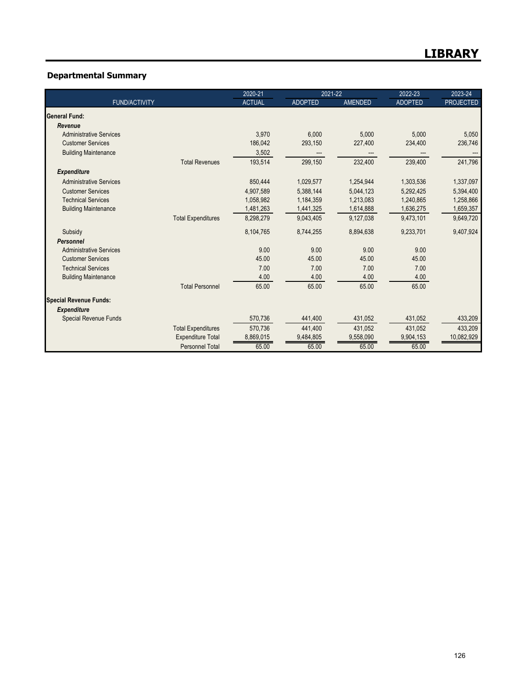## **Departmental Summary**

|                                |                           | 2020-21       | 2021-22        |                | 2022-23        | 2023-24          |
|--------------------------------|---------------------------|---------------|----------------|----------------|----------------|------------------|
| <b>FUND/ACTIVITY</b>           |                           | <b>ACTUAL</b> | <b>ADOPTED</b> | <b>AMENDED</b> | <b>ADOPTED</b> | <b>PROJECTED</b> |
| General Fund:                  |                           |               |                |                |                |                  |
| Revenue                        |                           |               |                |                |                |                  |
| <b>Administrative Services</b> |                           | 3,970         | 6.000          | 5,000          | 5.000          | 5,050            |
| <b>Customer Services</b>       |                           | 186,042       | 293,150        | 227,400        | 234,400        | 236,746          |
| <b>Building Maintenance</b>    |                           | 3,502         |                |                |                |                  |
|                                | <b>Total Revenues</b>     | 193,514       | 299,150        | 232,400        | 239,400        | 241,796          |
| <b>Expenditure</b>             |                           |               |                |                |                |                  |
| <b>Administrative Services</b> |                           | 850,444       | 1,029,577      | 1,254,944      | 1,303,536      | 1,337,097        |
| <b>Customer Services</b>       |                           | 4,907,589     | 5,388,144      | 5,044,123      | 5,292,425      | 5,394,400        |
| <b>Technical Services</b>      |                           | 1.058.982     | 1,184,359      | 1.213.083      | 1,240,865      | 1,258,866        |
| <b>Building Maintenance</b>    |                           | 1,481,263     | 1,441,325      | 1,614,888      | 1,636,275      | 1,659,357        |
|                                | <b>Total Expenditures</b> | 8,298,279     | 9,043,405      | 9,127,038      | 9,473,101      | 9,649,720        |
| Subsidy                        |                           | 8,104,765     | 8,744,255      | 8,894,638      | 9,233,701      | 9,407,924        |
| Personnel                      |                           |               |                |                |                |                  |
| <b>Administrative Services</b> |                           | 9.00          | 9.00           | 9.00           | 9.00           |                  |
| <b>Customer Services</b>       |                           | 45.00         | 45.00          | 45.00          | 45.00          |                  |
| <b>Technical Services</b>      |                           | 7.00          | 7.00           | 7.00           | 7.00           |                  |
| <b>Building Maintenance</b>    |                           | 4.00          | 4.00           | 4.00           | 4.00           |                  |
|                                | <b>Total Personnel</b>    | 65.00         | 65.00          | 65.00          | 65.00          |                  |
| <b>Special Revenue Funds:</b>  |                           |               |                |                |                |                  |
| <b>Expenditure</b>             |                           |               |                |                |                |                  |
| <b>Special Revenue Funds</b>   |                           | 570,736       | 441,400        | 431,052        | 431,052        | 433,209          |
|                                | <b>Total Expenditures</b> | 570,736       | 441,400        | 431,052        | 431,052        | 433,209          |
|                                | <b>Expenditure Total</b>  | 8,869,015     | 9,484,805      | 9,558,090      | 9,904,153      | 10,082,929       |
|                                | <b>Personnel Total</b>    | 65.00         | 65.00          | 65.00          | 65.00          |                  |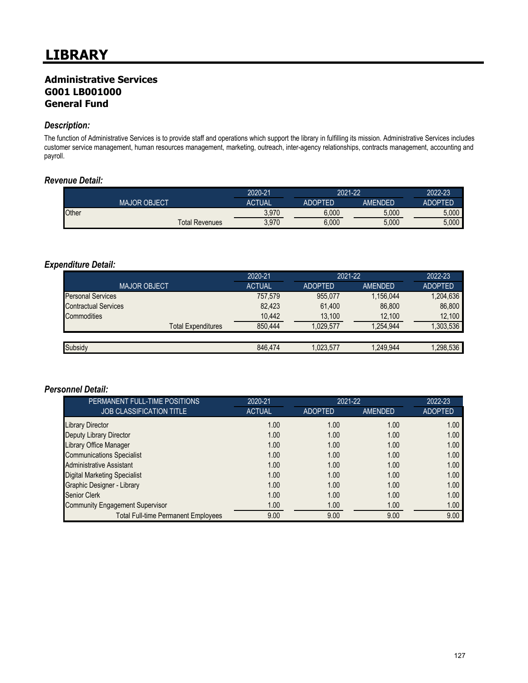## **Administrative Services G001 LB001000 General Fund**

#### *Description:*

The function of Administrative Services is to provide staff and operations which support the library in fulfilling its mission. Administrative Services includes customer service management, human resources management, marketing, outreach, inter-agency relationships, contracts management, accounting and payroll.

#### *Revenue Detail:*

|       |                     |                       | 2020-21       | 2021-22        |         | 2022-23 |
|-------|---------------------|-----------------------|---------------|----------------|---------|---------|
|       | <b>MAJOR OBJECT</b> |                       | <b>ACTUAL</b> | <b>ADOPTED</b> | AMENDED | ADOPTED |
| Other |                     |                       | 3.970         | 6.000          | 5.000   | 5.000   |
|       |                     | <b>Total Revenues</b> | 3.970         | 6.000          | 5,000   | 5,000   |

## *Expenditure Detail:*

|                             | 2020-21       | 2021-22        |           | 2022-23        |
|-----------------------------|---------------|----------------|-----------|----------------|
| <b>MAJOR OBJECT</b>         | <b>ACTUAL</b> | <b>ADOPTED</b> | AMENDED   | <b>ADOPTED</b> |
| <b>Personal Services</b>    | 757,579       | 955.077        | 1,156,044 | 1,204,636      |
| <b>Contractual Services</b> | 82.423        | 61,400         | 86,800    | 86,800         |
| Commodities                 | 10,442        | 13,100         | 12,100    | 12,100         |
| <b>Total Expenditures</b>   | 850.444       | 1.029.577      | .254.944  | ,303,536       |
|                             |               |                |           |                |
| Subsidy                     | 846.474       | 1.023.577      | 1.249.944 | .298.536       |

| PERMANENT FULL-TIME POSITIONS              | 2020-21       |                | 2021-22        |                |
|--------------------------------------------|---------------|----------------|----------------|----------------|
| <b>JOB CLASSIFICATION TITLE</b>            | <b>ACTUAL</b> | <b>ADOPTED</b> | <b>AMENDED</b> | <b>ADOPTED</b> |
| <b>Library Director</b>                    | 1.00          | 1.00           | 1.00           | 1.00           |
| Deputy Library Director                    | 1.00          | 1.00           | 1.00           | 1.00           |
| Library Office Manager                     | 1.00          | 1.00           | 1.00           | 1.00           |
| <b>Communications Specialist</b>           | 1.00          | 1.00           | 1.00           | 1.00           |
| <b>Administrative Assistant</b>            | 1.00          | 1.00           | 1.00           | 1.00           |
| <b>Digital Marketing Specialist</b>        | 1.00          | 1.00           | 1.00           | 1.00           |
| Graphic Designer - Library                 | 1.00          | 1.00           | 1.00           | 1.00           |
| <b>Senior Clerk</b>                        | 1.00          | 1.00           | 1.00           | 1.00           |
| <b>Community Engagement Supervisor</b>     | 1.00          | 1.00           | 1.00           | 1.00           |
| <b>Total Full-time Permanent Employees</b> | 9.00          | 9.00           | 9.00           | 9.00           |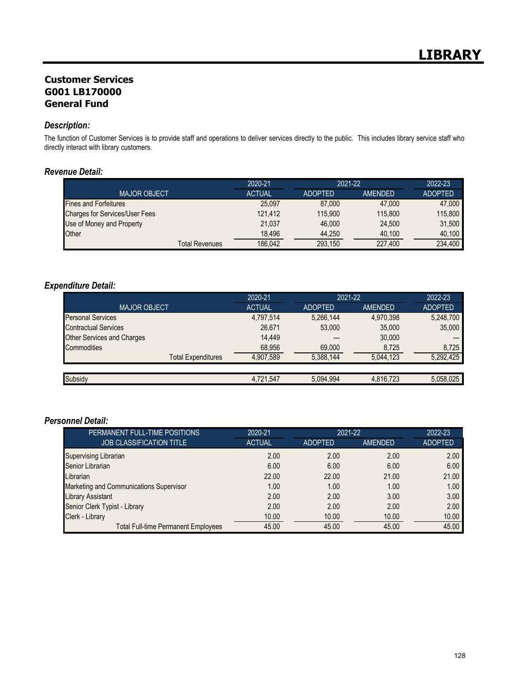## **Customer Services G001 LB170000 General Fund**

#### *Description:*

The function of Customer Services is to provide staff and operations to deliver services directly to the public. This includes library service staff who directly interact with library customers.

#### *Revenue Detail:*

|                                       | 2020-21       | $2021 - 22$    |         | 2022-23        |
|---------------------------------------|---------------|----------------|---------|----------------|
| <b>MAJOR OBJECT</b>                   | <b>ACTUAL</b> | <b>ADOPTED</b> | AMENDED | <b>ADOPTED</b> |
| <b>Fines and Forfeitures</b>          | 25.097        | 87,000         | 47,000  | 47,000         |
| <b>Charges for Services/User Fees</b> | 121.412       | 115.900        | 115,800 | 115,800        |
| Use of Money and Property             | 21.037        | 46.000         | 24.500  | 31.500         |
| Other                                 | 18.496        | 44.250         | 40.100  | 40.100         |
| Total Revenues                        | 186.042       | 293,150        | 227,400 | 234.400        |

## *Expenditure Detail:*

|                             | 2020-21       | 2021-22        |           | 2022-23        |
|-----------------------------|---------------|----------------|-----------|----------------|
| <b>MAJOR OBJECT</b>         | <b>ACTUAL</b> | <b>ADOPTED</b> | AMENDED   | <b>ADOPTED</b> |
| <b>Personal Services</b>    | 4,797,514     | 5,266,144      | 4,970,398 | 5,248,700      |
| <b>Contractual Services</b> | 26,671        | 53,000         | 35,000    | 35,000         |
| Other Services and Charges  | 14.449        | ---            | 30,000    |                |
| <b>Commodities</b>          | 68,956        | 69,000         | 8,725     | 8.725          |
| <b>Total Expenditures</b>   | 4,907,589     | 5,388,144      | 5.044.123 | 5,292,425      |
|                             |               |                |           |                |
| Subsidy                     | 4,721,547     | 5,094,994      | 4,816,723 | 5,058,025      |

| PERMANENT FULL-TIME POSITIONS              | 2020-21       |                | 2021-22        |                |
|--------------------------------------------|---------------|----------------|----------------|----------------|
| <b>JOB CLASSIFICATION TITLE</b>            | <b>ACTUAL</b> | <b>ADOPTED</b> | <b>AMENDED</b> | <b>ADOPTED</b> |
| <b>Supervising Librarian</b>               | 2.00          | 2.00           | 2.00           | 2.00           |
| Senior Librarian                           | 6.00          | 6.00           | 6.00           | 6.00           |
| Librarian                                  | 22.00         | 22.00          | 21.00          | 21.00          |
| Marketing and Communications Supervisor    | 1.00          | 1.00           | 1.00           | 1.00           |
| <b>Library Assistant</b>                   | 2.00          | 2.00           | 3.00           | 3.00           |
| Senior Clerk Typist - Library              | 2.00          | 2.00           | 2.00           | 2.00           |
| Clerk - Library                            | 10.00         | 10.00          | 10.00          | 10.00          |
| <b>Total Full-time Permanent Employees</b> | 45.00         | 45.00          | 45.00          | 45.00          |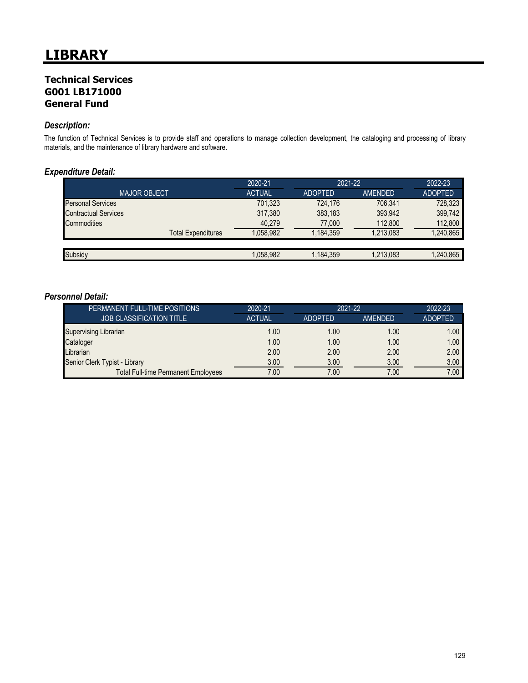## **Technical Services G001 LB171000 General Fund**

#### *Description:*

The function of Technical Services is to provide staff and operations to manage collection development, the cataloging and processing of library materials, and the maintenance of library hardware and software.

#### *Expenditure Detail:*

|                             | 2020-21       | 2021-22        |           | 2022-23        |
|-----------------------------|---------------|----------------|-----------|----------------|
| <b>MAJOR OBJECT.</b>        | <b>ACTUAL</b> | <b>ADOPTED</b> | AMENDED   | <b>ADOPTED</b> |
| <b>Personal Services</b>    | 701,323       | 724.176        | 706.341   | 728,323        |
| <b>Contractual Services</b> | 317,380       | 383.183        | 393,942   | 399,742        |
| Commodities                 | 40,279        | 77,000         | 112,800   | 112,800        |
| <b>Total Expenditures</b>   | 1,058,982     | 1.184.359      | 1,213,083 | 1,240,865      |
|                             |               |                |           |                |
| Subsidy                     | 1,058,982     | 1,184,359      | 1,213,083 | 1,240,865      |

| PERMANENT FULL-TIME POSITIONS              | 2020-21       | 2021-22        |                | 2022-23           |
|--------------------------------------------|---------------|----------------|----------------|-------------------|
| <b>JOB CLASSIFICATION TITLE</b>            | <b>ACTUAL</b> | <b>ADOPTED</b> | <b>AMENDED</b> | <b>ADOPTED</b>    |
| <b>Supervising Librarian</b>               | 1.00          | 1.00           | 1.00           | 1.00 <sub>1</sub> |
| Cataloger                                  | 1.00          | 1.00           | 1.00           | 1.00 <sub>1</sub> |
| Librarian                                  | 2.00          | 2.00           | 2.00           | 2.00              |
| Senior Clerk Typist - Library              | 3.00          | 3.00           | 3.00           | 3.00              |
| <b>Total Full-time Permanent Employees</b> | 7.00          | 7.00           | 7.00           | 7.00 <sub>1</sub> |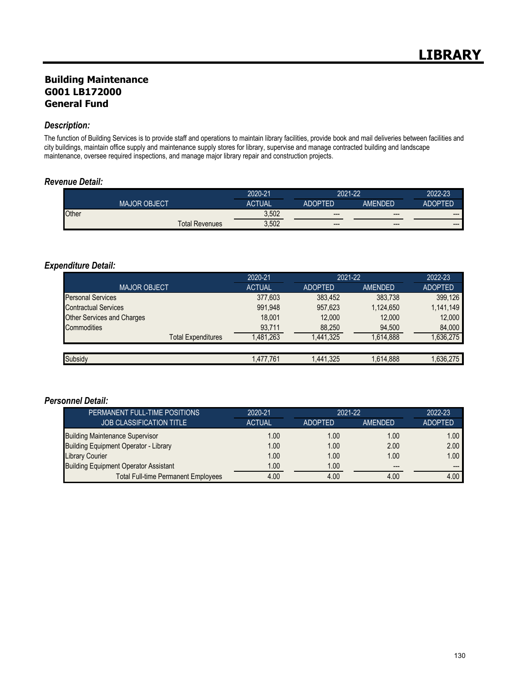## **Building Maintenance G001 LB172000 General Fund**

#### *Description:*

The function of Building Services is to provide staff and operations to maintain library facilities, provide book and mail deliveries between facilities and city buildings, maintain office supply and maintenance supply stores for library, supervise and manage contracted building and landscape maintenance, oversee required inspections, and manage major library repair and construction projects.

#### *Revenue Detail:*

|       |                     |                       | 2020-21       | 2021-22 |         | 2022-23                |
|-------|---------------------|-----------------------|---------------|---------|---------|------------------------|
|       | <b>MAJOR OBJECT</b> |                       | <b>ACTUAL</b> | ADOPTED | AMENDED | <b>ADOPTED</b>         |
| Other |                     |                       | 3,502         | $---$   | $---$   | $---$                  |
|       |                     | <b>Total Revenues</b> | 3,502         | $---$   | $---$   | $\qquad \qquad \cdots$ |

#### *Expenditure Detail:*

|                                   | 2020-21       | 2021-22        |           | 2022-23        |
|-----------------------------------|---------------|----------------|-----------|----------------|
| <b>MAJOR OBJECT</b>               | <b>ACTUAL</b> | <b>ADOPTED</b> | AMENDED   | <b>ADOPTED</b> |
| <b>Personal Services</b>          | 377,603       | 383,452        | 383,738   | 399,126        |
| <b>Contractual Services</b>       | 991,948       | 957,623        | 1,124,650 | 1,141,149      |
| <b>Other Services and Charges</b> | 18.001        | 12.000         | 12.000    | 12,000         |
| Commodities                       | 93,711        | 88,250         | 94,500    | 84,000         |
| <b>Total Expenditures</b>         | 1,481,263     | 1,441,325      | 1,614,888 | 1,636,275      |
|                                   |               |                |           |                |
| Subsidy                           | 1,477,761     | 1,441,325      | 1,614,888 | 1,636,275      |

| PERMANENT FULL-TIME POSITIONS                | 2020-21       | $2021 - 22$    |                | 2022-23           |
|----------------------------------------------|---------------|----------------|----------------|-------------------|
| <b>JOB CLASSIFICATION TITLE</b>              | <b>ACTUAL</b> | <b>ADOPTED</b> | <b>AMFNDFD</b> | <b>ADOPTED</b>    |
| <b>Building Maintenance Supervisor</b>       | 1.00          | 1.00           | 1.00           | 1.00 <sub>1</sub> |
| <b>Building Equipment Operator - Library</b> | 1.00          | 1.00           | 2.00           | 2.00              |
| Library Courier                              | 1.00          | 1.00           | 1.00           | 1.00 <sub>1</sub> |
| <b>Building Equipment Operator Assistant</b> | 1.00          | 1.00           | $---$          |                   |
| <b>Total Full-time Permanent Employees</b>   | 4.00          | 4.00           | 4.00           | 4.00              |